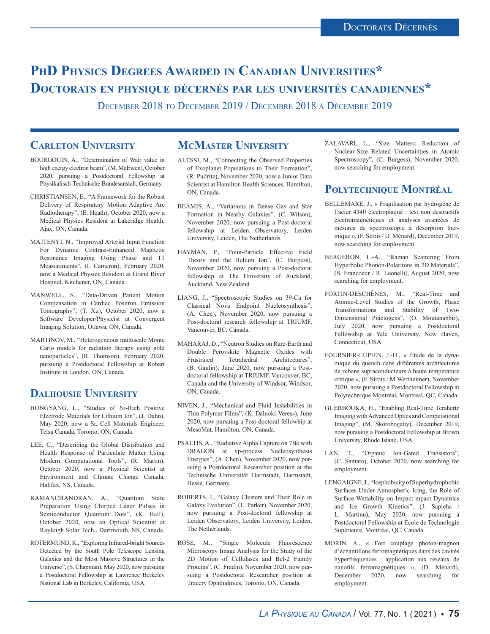## **PhD Physics Degrees Awarded in Canadian Universities\* Doctorats en physique décernés par les universités canadiennes\***

December 2018 to December 2019 / Décembre 2018 à Décembre 2019

### **Carleton University**

- BOURGOUIN, A., "Determination of Wair value in high energy electron beam", (M. McEwen), October 2020, pursuing a Postdoctoral Fellowship at Physikalisch-Technische Bundesanstalt, Germany.
- CHRISTIANSEN, E., "A Framework for the Robust Delivery of Respiratory Motion Adaptive Arc Radiotherapy", (E. Heath), October 2020, now a Medical Physics Resident at Lakeridge Health, Ajax, ON, Canada.
- MAJTENYI, N., "Improved Arterial Input Function For Dynamic Contrast-Enhanced Magnetic Resonance Imaging Using Phase and T1 Measurements", (I. Cameron), February 2020, now a Medical Physics Resident at Grand River Hospital, Kitchener, ON, Canada.
- MANWELL, S., "Data-Driven Patient Motion Compensation in Cardiac Positron Emission Tomography", (T. Xu), October 2020, now a Software Developer/Physicist at Convergent Imaging Solution, Ottawa, ON, Canada.
- MARTINOV, M., "Heterogeneous multiscale Monte Carlo models for radiation therapy using gold nanoparticles", (R. Thomson), February 2020, pursuing a Postdoctoral Fellowship at Robart Institute in London, ON, Canada.

## **Dalhousie University**

- HONGYANG, L., "Studies of Ni-Rich Positive Electrode Materials for Lithium Ion", (J. Dahn), May 2020, now a Sr. Cell Materials Engineer, Telsa Canada, Toronto, ON, Canada.
- LEE, C., "Describing the Global Distribution and Health Response of Particulate Matter Using Modern Computational Tools", (R. Martin), October 2020, now a Physical Scientist at Environment and Climate Change Canada, Halifax, NS, Canada.
- RAMANCHANDRAN, A., "Quantum State Preparation Using Chirped Laser Pulses in Semiconductor Quantum Dots", (K. Hall), October 2020, now an Optical Scientist at Rayleigh Solar Tech., Dartmouth, NS, Canada.
- ROTERMUND, K., "Exploring Infrared-bright Sources Detected by the South Pole Telescope Lensing Galaxies and the Most Massive Structures in the Universe", (S. Chapman), May 2020, now pursuing a Postdoctoral Fellowship at Lawrence Berkeley National Lab in Berkeley, California, USA.

#### **McMaster University**

- ALESSI, M., "Connecting the Observed Properties of Exoplanet Populations to Their Formation", (R. Pudritz), November 2020, now a Junior Data Scientist at Hamilton Health Sciences, Hamilton, ON, Canada.
- BEAMIS, A., "Variations in Dense Gas and Star Formation in Nearby Galaxies", (C. Wilson), November 2020, now pursuing a Post-doctoral fellowship at Leiden Observatory, Leiden University, Leiden, The Netherlands.
- HAYMAN, P., "Point-Particle Effective Field Theory and the Helium Ion", (C. Burgess), November 2020, now pursuing a Post-doctoral fellowship at The University of Auckland, Auckland, New Zealand.
- LIANG, J., "Spectroscopic Studies on 39-Ca for Classical Nova Endpoint Nucleosynthesis", (A. Chen), November 2020, now pursuing a Post-doctoral research fellowship at TRIUMF, Vancouver, BC, Canada.
- MAHARAJ, D., "Neutron Studies on Rare-Earth and Double Perovskite Magnetic Oxides with Frustrated Tetrahedral Architectures", (B. Gaulin), June 2020, now pursuing a Postdoctoral fellowship at TRIUMF, Vancouver, BC, Canada and the University of Windsor, Windsor, ON, Canada.
- NIVEN, J., "Mechanical and Fluid Instabilities in Thin Polymer Films", (K. Dalnoki-Veress), June 2020, now pursuing a Post-doctoral fellowhip at MesoMat, Hamilton, ON, Canada.
- PSALTIS, A., "Radiative Alpha Capture on 7Be with DRAGON at vp-process Nucleosynthesis Energies", (A. Chen), November 2020, now pursuing a Postdoctoral Researcher position at the Technische Universität Darmstadt, Darmstadt, Hesse, Germany.
- ROBERTS, I., "Galaxy Clusters and Their Role in Galaxy Evolution", (L. Parker), November 2020, now pursuing a Post-doctoral fellowship at Leiden Observatory, Leiden University, Leiden, The Netherlands.
- ROSE, M., "Single Molecule Fluorescence Microscopy Image Analysis for the Study of the 2D Motion of Cellulases and Bcl-2 Family Proteins", (C. Fradin), November 2020, now pursuing a Postdoctoral Researcher position at Tracery Ophthalmics, Toronto, ON, Canada.

ZALAVARI, L., "Size Matters: Reduction of Nuclear-Size Related Uncertainties in Atomic Spectroscopy", (C. Burgess), November 2020, now searching for employment.

#### POLYTECHNIQUE MONTRÉAL

- BELLEMARE, J., « Fragilisation par hydrogène de l'acier 4340 électroplaqué : test non destructifs électromagnétiques et analyses avancées de mesures de spectroscopie à désorption thermique », (F. Sirois / D. Ménard), December 2019, now searching for employment.
- BERGERON, L.-A., "Raman Scattering From Hyperbolic Phonon-Polaritons in 2D Materials", (S. Francoeur / R. Leonelli), August 2020, now searching for employment.
- FORTIN-DESCHÊNES, M., "Real-Time and Atomic-Level Studies of the Growth, Phase Transformations and Stability of Two-Dimensional Pnictogens", (O. Moutanabbir), July 2020, now pursuing a Postdoctoral Fellowship at Yale University, New Haven, Connecticut, USA.
- FOURNIER-LUPIEN, J.-H., « Étude de la dynamique du quench dans différentes architectures de rubans supraconducteurs à haute température critique », (F. Sirois / M.Wertheimer), November 2020, now pursuing a Postdoctoral Fellowship at Polytechnique Montréal, Montreal, QC, Canada.
- GUERBOUKA, H., "Enabling Real-Time Terahertz Imaging with Advanced Optics and Computational Imaging", (M. Skorobogatiy), December 2019, now pursuing a Postdoctoral Fellowship at Brown University, Rhode Island, USA.
- LAN, T., "Organic Ion-Gated Transistors", (C. Santato), October 2020, now searching for employment.
- LENGAIGNE, J., "Icephobicity of Superhydrophobic Surfaces Under Atmospheric Icing, the Role of Surface Wettability on Impact mpact Dynamics and Ice Growth Kinetics", (J. Sapieha / L. Martinu), May 2020, now pursuing a Postdoctoral Fellowship at École de Technologie Supérieure, Montréal, QC, Canada.
- MORIN, A., « Fort couplage photon-magnon d'échantillons ferromagnétiques dans des cavités hyperfréquences : application aux réseaux de nanofils ferromagnétiques », (D. Ménard),<br>December 2020, now searching for searching for employment.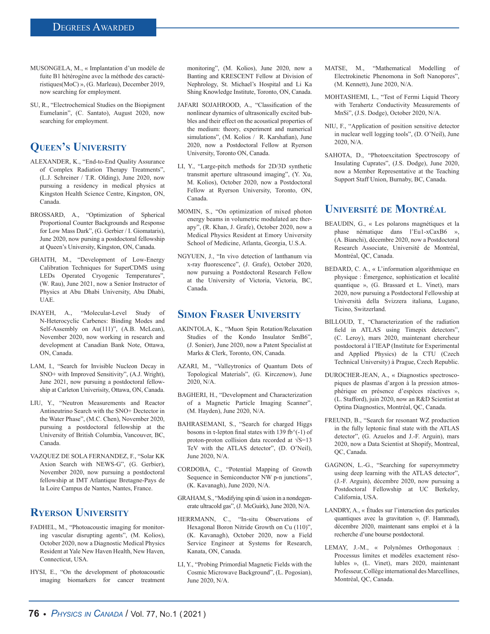- MUSONGELA, M., « Implantation d'un modèle de fuite B1 hétérogène avec la méthode des caractéristiques(MoC) », (G. Marleau), December 2019, now searching for employment.
- SU, R., "Electrochemical Studies on the Biopigment Eumelanin", (C. Santato), August 2020, now searching for employment.

## **Queen's University**

- ALEXANDER, K., "End-to-End Quality Assurance of Complex Radiation Therapy Treatments", (L.J. Schreiner / T.R. Olding), June 2020, now pursuing a residency in medical physics at Kingston Health Science Centre, Kingston, ON, Canada.
- BROSSARD, A., "Optimization of Spherical Proportional Counter Backgrounds and Response for Low Mass Dark", (G. Gerbier / I. Giomataris), June 2020, now pursing a postdoctoral fellowship at Queen's University, Kingston, ON, Canada.
- GHAITH, M., "Development of Low-Energy Calibration Techniques for SuperCDMS using LEDs Operated Cryogenic Temperatures", (W. Rau), June 2021, now a Senior Instructor of Physics at Abu Dhabi University, Abu Dhabi, UAE.
- INAYEH, A., "Molecular-Level Study of N-Heterocyclic Carbenes: Binding Modes and Self-Assembly on Au(111)", (A.B. McLean), November 2020, now working in research and development at Canadian Bank Note, Ottawa, ON, Canada.
- LAM, I., "Search for Invisible Nucleon Decay in SNO+ with Improved Sensitivity", (A.J. Wright), June 2021, now pursuing a postdoctoral fellowship at Carleton Univerisity, Ottawa, ON, Canada.
- LIU, Y., "Neutron Measurements and Reactor Antineutrino Search with the SNO+ Dectector in the Water Phase", (M.C. Chen), November 2020, pursuing a postdoctoral fellowship at the University of British Columbia, Vancouver, BC, Canada.
- VAZQUEZ DE SOLA FERNANDEZ, F., "Solar KK Axion Search with NEWS-G", (G. Gerbier), November 2020, now pursuing a postdoctoral fellowship at IMT Atlantique Bretagne-Pays de la Loire Campus de Nantes, Nantes, France.

## **Ryerson University**

- FADHEL, M., "Photoacoustic imaging for monitoring vascular disrupting agents", (M. Kolios), October 2020, now a Diagnostic Medical Physics Resident at Yale New Haven Health, New Haven, Connecticut, USA.
- HYSI, E., "On the development of photoacoustic imaging biomarkers for cancer treatment

monitoring", (M. Kolios), June 2020, now a Banting and KRESCENT Fellow at Division of Nephrology, St. Michael's Hospital and Li Ka Shing Knowledge Institute, Toronto, ON, Canada.

- JAFARI SOJAHROOD, A., "Classification of the nonlinear dynamics of ultrasonically excited bubbles and their effect on the acoustical properties of the medium: theory, experiment and numerical simulations", (M. Kolios / R. Karshafian), June 2020, now a Postdoctoral Fellow at Ryerson University, Toronto ON, Canada.
- LI, Y., "Large-pitch methods for 2D/3D synthetic transmit aperture ultrasound imaging", (Y. Xu, M. Kolios), October 2020, now a Postdoctoral Fellow at Ryerson University, Toronto, ON, Canada.
- MOMIN, S., "On optimization of mixed photon energy beams in volumetric modulated arc therapy", (R. Khan, J. Grafe), October 2020, now a Medical Physics Resident at Emory University School of Medicine, Atlanta, Georgia, U.S.A.
- NGYUEN, J., "In vivo detection of lanthanum via x-ray fluorescence", (J. Grafe), October 2020, now pursuing a Postdoctoral Research Fellow at the University of Victoria, Victoria, BC, Canada.

#### **Simon Fraser University**

- AKINTOLA, K., "Muon Spin Rotation/Relaxation Studies of the Kondo Insulator SmB6", (J. Sonier), June 2020, now a Patent Specialist at Marks & Clerk, Toronto, ON, Canada.
- AZARI, M., "Valleytronics of Quantum Dots of Topological Materials", (G. Kirczenow), June 2020, N/A.
- BAGHERI, H., "Development and Characterization of a Magnetic Particle Imaging Scanner", (M. Hayden), June 2020, N/A.
- BAHRASEMANI, S., "Search for charged Higgs bosons in  $\tau$ -lepton final states with 139 fb $\gamma$ (-1) of proton-proton collision data recorded at  $\sqrt{s}$ =13 TeV with the ATLAS detector", (D. O'Neil), June 2020, N/A.
- CORDOBA, C., "Potential Mapping of Growth Sequence in Semiconductor NW p-n junctions", (K. Kavanagh), June 2020, N/A.
- GRAHAM, S., "Modifying spin di˙usion in a nondegenerate ultracold gas", (J. McGuirk), June 2020, N/A.
- HERRMANN, C., "In-situ Observations of Hexagonal Boron Nitride Growth on Cu (110)", (K. Kavanagh), October 2020, now a Field Service Engineer at Systems for Research, Kanata, ON, Canada.
- LI, Y., "Probing Primordial Magnetic Fields with the Cosmic Microwave Background", (L. Pogosian), June 2020, N/A.
- MATSE, M., "Mathematical Modelling of Electrokinetic Phenomona in Soft Nanopores", (M. Kennett), June 2020, N/A.
- MOHTASHEMI, L., "Test of Fermi Liquid Theory with Terahertz Conductivity Measurements of MnSi", (J.S. Dodge), October 2020, N/A.
- NIU, F., "Application of position sensitive detector in nuclear well logging tools", (D. O'Neil), June 2020, N/A.
- SAHOTA, D., "Photoexcitation Spectroscopy of Insulating Cuprates", (J.S. Dodge), June 2020, now a Member Representative at the Teaching Support Staff Union, Burnaby, BC, Canada.

#### **Université de Montréal**

- BEAUDIN, G., « Les polarons magnétiques et la phase nématique dans l'Eu1-xCaxB6 », (A. Bianchi), décembre 2020, now a Postdoctoral Research Associate, Université de Montréal, Montréal, QC, Canada.
- BEDARD, C. A., « L'information algorithmique en physique : Émergence, sophistication et localité quantique », (G. Brassard et L. Vinet), mars 2020, now pursuing a Postdoctoral Fellowship at Università della Svizzera italiana, Lugano, Ticino, Switzerland.
- BILLOUD, T., "Characterization of the radiation field in ATLAS using Timepix detectors". (C. Leroy), mars 2020, maintenant chercheur postdoctoral à l'IEAP (Institute for Experimental and Applied Physics) de la CTU (Czech Technical University) à Prague, Czech Republic.
- DUROCHER-JEAN, A., « Diagnostics spectroscopiques de plasmas d'argon à la pression atmosphérique en présence d'espèces réactives », (L. Stafford), juin 2020, now an R&D Scientist at Optina Diagnostics, Montréal, QC, Canada.
- FREUND, B., "Search for resonant WZ production in the fully leptonic final state with the ATLAS detector", (G. Azuelos and J.-F. Arguin), mars 2020, now a Data Scientist at Shopify, Montreal, QC, Canada.
- GAGNON, L.-G., "Searching for supersymmetry using deep learning with the ATLAS detector", (J.-F. Arguin), décembre 2020, now pursuing a Postdoctoral Fellowship at UC Berkeley, California, USA.
- LANDRY, A., « Études sur l'interaction des particules quantiques avec la gravitation », (F. Hammad), décembre 2020, maintenant sans emploi et à la recherche d'une bourse postdoctoral.
- LEMAY, J.-M., « Polynômes Orthogonaux : Processus limites et modèles exactement résolubles », (L. Vinet), mars 2020, maintenant Professeur, Collège international des Marcellines, Montréal, QC, Canada.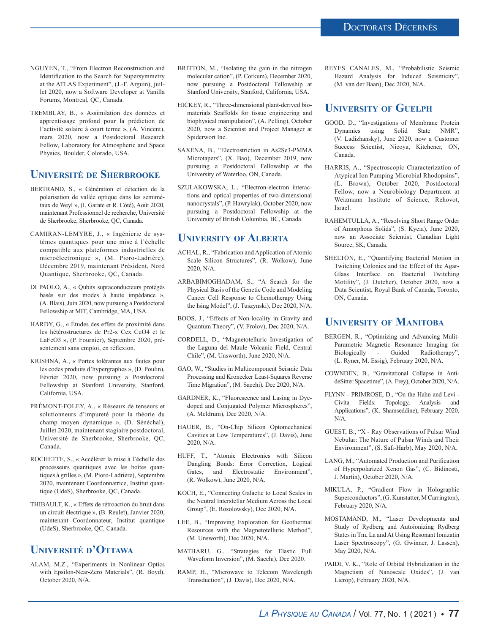- NGUYEN, T., "From Electron Reconstruction and Identification to the Search for Supersymmetry at the ATLAS Experiment", (J.-F. Arguin), juillet 2020, now a Software Developer at Vanilla Forums, Montreal, QC, Canada.
- TREMBLAY, B., « Assimilation des données et apprentissage profond pour la prédiction de l'activité solaire à court terme », (A. Vincent), mars 2020, now a Postdoctoral Research Fellow, Laboratory for Atmospheric and Space Physics, Boulder, Colorado, USA.

#### **Université de Sherbrooke**

- BERTRAND, S., « Génération et détection de la polarisation de vallée optique dans les semimétaux de Weyl », (I. Garate et R. Côté), Août 2020, maintenant Professionnel de recherche, Université de Sherbrooke, Sherbrooke, QC, Canada.
- CAMIRAN-LEMYRE, J., « Ingénierie de systèmes quantiques pour une mise à l'échelle compatible aux plateformes industrielles de microélectronique », (M. Pioro-Ladrière), Décembre 2019, maintenant Président, Nord Quantique, Sherbrooke, QC, Canada.
- DI PAOLO, A., « Qubits supraconducteurs protégés basés sur des modes à haute impédance », (A. Blais), Juin 2020, now pursuing a Postdoctoral Fellowship at MIT, Cambridge, MA, USA.
- HARDY, G., « Études des effets de proximité dans les hétérostructures de Pr2-x Cex CuO4 et le LaFeO3 », (P. Fournier), Septembre 2020, présentement sans emploi, en réflexion.
- KRISHNA, A., « Portes tolérantes aux fautes pour les codes produits d'hypergraphes », (D. Poulin), Février 2020, now pursuing a Postdoctoral Fellowship at Stanford University, Stanford, California, USA.
- PRÉMONT-FOLEY, A., « Réseaux de tenseurs et solutionneurs d'impureté pour la théorie du champ moyen dynamique », (D. Sénéchal), Juillet 2020, maintenant stagiaire postdoctoral, Université de Sherbrooke, Sherbrooke, QC, Canada.
- ROCHETTE, S., « Accélérer la mise à l'échelle des processeurs quantiques avec les boîtes quantiques à grilles », (M. Pioro-Ladrière), Septembre 2020, maintenant Coordonnatrice, Institut quantique (UdeS), Sherbrooke, QC, Canada.
- THIBAULT, K., « Effets de rétroaction du bruit dans un circuit électrique », (B. Reulet), Janvier 2020, maintenant Coordonnateur, Institut quantique (UdeS), Sherbrooke, QC, Canada.

#### **Université d'Ottawa**

ALAM, M.Z., "Experiments in Nonlinear Optics with Epsilon-Near-Zero Materials", (R. Boyd), October 2020, N/A.

- BRITTON, M., "Isolating the gain in the nitrogen molecular cation", (P. Corkum), December 2020, now pursuing a Postdoctoral Fellowship at Stanford University, Stanford, California, USA.
- HICKEY, R., "Three-dimensional plant-derived biomaterials Scaffolds for tissue engineering and biophysical manipulation", (A. Pelling), October 2020, now a Scientist and Project Manager at Spiderwort Inc.
- SAXENA, B., "Electrostriction in As2Se3-PMMA Microtapers", (X. Bao), December 2019, now pursuing a Postdoctoral Fellowship at the University of Waterloo, ON, Canada.
- SZULAKOWSKA, L., "Electron-electron interactions and optical properties of two-dimensional nanocrystals", (P. Hawrylak), October 2020, now pursuing a Postdoctoral Fellowship at the University of British Columbia, BC, Canada.

#### **University of Alberta**

- ACHAL, R., "Fabrication and Application of Atomic Scale Silicon Structures", (R. Wolkow), June 2020, N/A.
- ARBABIMOGHADAM, S., "A Search for the Physical Basis of the Genetic Code and Modeling Cancer Cell Response to Chemotherapy Using the Ising Model", (J. Tuszynski), Dec 2020, N/A.
- BOOS, J., "Effects of Non-locality in Gravity and Quantum Theory", (V. Frolov), Dec 2020, N/A.
- CORDELL, D., "Magnetotelluric Investigation of the Laguna del Maule Volcanic Field, Central Chile", (M. Unsworth), June 2020, N/A.
- GAO, W., "Studies in Multicomponent Seismic Data Processing and Kronecker Least-Squares Reverse Time Migration", (M. Sacchi), Dec 2020, N/A.
- GARDNER, K., "Fluorescence and Lasing in Dyedoped and Conjugated Polymer Microspheres", (A. Meldrum), Dec 2020, N/A.
- HAUER, B., "On-Chip Silicon Optomechanical Cavities at Low Temperatures", (J. Davis), June 2020, N/A.
- HUFF, T., "Atomic Electronics with Silicon Dangling Bonds: Error Correction, Logical Gates, and Electrostatic Environment", (R. Wolkow), June 2020, N/A.
- KOCH, E., "Connecting Galactic to Local Scales in the Neutral Interstellar Medium Across the Local Group", (E. Rosolowsky), Dec 2020, N/A.
- LEE, B., "Improving Exploration for Geothermal Resources with the Magnetotelluric Method", (M. Unsworth), Dec 2020, N/A.
- MATHARU, G., "Strategies for Elastic Full Waveform Inversion", (M. Sacchi), Dec 2020.
- RAMP, H., "Microwave to Telecom Wavelength Transduction", (J. Davis), Dec 2020, N/A.

REYES CANALES, M., "Probabilistic Seismic Hazard Analysis for Induced Seismicity", (M. van der Baan), Dec 2020, N/A.

#### **University of Guelph**

- GOOD, D., "Investigations of Membrane Protein Dynamics using Solid State NMR", (V. Ladizhansky), June 2020, now a Customer Success Scientist, Nicoya, Kitchener, ON, Canada.
- HARRIS, A., "Spectroscopic Characterization of Atypical Ion Pumping Microbial Rhodopsins", (L. Brown), October 2020, Postdoctoral Fellow, now a Neurobiology Department at Weizmann Institute of Science, Rehovot, Israel.
- RAHEMTULLA, A., "Resolving Short Range Order of Amorphous Solids", (S. Kycia), June 2020, now an Associate Scientist, Canadian Light Source, SK, Canada.
- SHELTON, E., "Quantifying Bacterial Motion in Twitching Colonies and the Effect of the Agar-Glass Interface on Bacterial Twitching Motility", (J. Dutcher), October 2020, now a Data Scientist, Royal Bank of Canada, Toronto, ON, Canada.

#### **University of Manitoba**

- BERGEN, R., "Optimizing and Advancing Mulit-Parametric Magnetic Resonance Imaging for Biologically - Guided Radiotherapy", (L. Ryner, M. Essig), February 2020, N/A.
- COWNDEN, B., "Gravitational Collapse in AntideSitter Spacetime", (A. Frey), October 2020, N/A.
- FLYNN PRIMROSE, D., "On the Hahn and Levi Civita Fields: Topology, Analysis and Applications", (K. Shamseddine), February 2020, N/A.
- GUEST, B., "X Ray Observations of Pulsar Wind Nebular: The Nature of Pulsar Winds and Their Environment", (S. Safi-Harb), May 2020, N/A.
- LANG, M., "Automated Production and Purification of Hyperpolarized Xenon Gas", (C. Bidinosti, J. Martin), October 2020, N/A.
- MIKULA, P., "Gradient Flow in Holographic Superconductors", (G. Kunstatter, M Carrington), February 2020, N/A.
- MOSTAMAND, M., "Laser Developments and Study of Rydberg and Autoionizing Rydberg States in Tm, La and At Using Resonant Ionizatin Laser Spectroscopy", (G. Gwinner, J. Lassen), May 2020, N/A.
- PAIDI, V. K., "Role of Orbital Hybridization in the Magnetism of Nanoscale Oxides", (J. van Lierop), February 2020, N/A.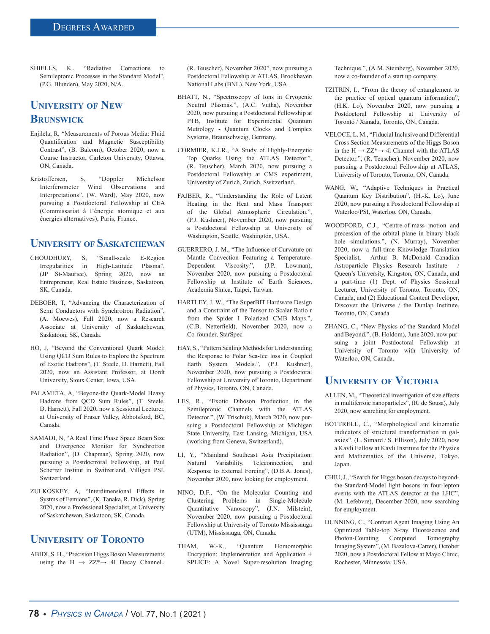SHIELLS, K., "Radiative Corrections to Semileptonic Processes in the Standard Model", (P.G. Blunden), May 2020, N/A.

## **University of New Brunswick**

- Enjilela, R, "Measurements of Porous Media: Fluid Quantification and Magnetic Susceptibility Contrast", (B. Balcom), October 2020, now a Course Instructor, Carleton University, Ottawa, ON, Canada.
- Kristoffersen, S, "Doppler Michelson Interferometer Wind Observations and Interpretations", (W. Ward), May 2020, now pursuing a Postdoctoral Fellowship at CEA (Commissariat à l'énergie atomique et aux énergies alternatives), Paris, France.

#### **University of Saskatchewan**

- CHOUDHURY, S, "Small-scale E-Region Irregularities in High-Latitude Plasma", (JP St-Maurice), Spring 2020, now an Entrepreneur, Real Estate Business, Saskatoon, SK, Canada.
- DEBOER, T, "Advancing the Characterization of Semi Conductors with Synchrotron Radiation", (A. Moewes), Fall 2020, now a Research Associate at University of Saskatchewan, Saskatoon, SK, Canada.
- HO, J, "Beyond the Conventional Quark Model: Using QCD Sum Rules to Explore the Spectrum of Exotic Hadrons", (T. Steele, D. Harnett), Fall 2020, now an Assistant Professor, at Dordt University, Sioux Center, Iowa, USA.
- PALAMETA, A, "Beyone-the Quark-Model Heavy Hadrons from QCD Sum Rules", (T. Steele, D. Harnett), Fall 2020, now a Sessional Lecturer, at University of Fraser Valley, Abbotsford, BC, Canada.
- SAMADI, N, "A Real Time Phase Space Beam Size and Divergence Monitor for Synchrotron Radiation", (D. Chapman), Spring 2020, now pursuing a Postdoctroral Fellowship, at Paul Scherrer Institut in Switzerland, Villigen PSI, Switzerland.
- ZULKOSKEY, A, "Interdimensional Effects in Systms of Femions", (K. Tanaka, R. Dick), Spring 2020, now a Professional Specialist, at University of Saskatchewan, Saskatoon, SK, Canada.

## **University of Toronto**

ABIDI, S. H., "Precision Higgs Boson Measurements using the  $H \rightarrow ZZ^* \rightarrow 4l$  Decay Channel.,

(R. Teuscher), November 2020", now pursuing a Postdoctoral Fellowship at ATLAS, Brookhaven National Labs (BNL), New York, USA.

- BHATT, N., "Spectroscopy of Ions in Cryogenic Neutral Plasmas.", (A.C. Vutha), November 2020, now pursuing a Postdoctoral Fellowship at PTB, Institute for Experimental Quantum Metrology - Quantum Clocks and Complex Systems, Braunschweig, Germany.
- CORMIER, K.J.R., "A Study of Highly-Energetic Top Quarks Using the ATLAS Detector.", (R. Teuscher), March 2020, now pursuing a Postdoctoral Fellowship at CMS experiment, University of Zurich, Zurich, Switzerland.
- FAJBER, R., "Understanding the Role of Latent Heating in the Heat and Mass Transport of the Global Atmospheric Circulation.", (P.J. Kushner), November 2020, now pursuing a Postdoctoral Fellowship at University of Washington, Seattle, Washington, USA.
- GUERRERO, J. M., "The Influence of Curvature on Mantle Convection Featuring a Temperature-Dependent Viscosity.", (J.P. Lowman), November 2020, now pursuing a Postdoctoral Fellowship at Institute of Earth Sciences, Academia Sinica, Taipei, Taiwan.
- HARTLEY, J. W., "The SuperBIT Hardware Design and a Constraint of the Tensor to Scalar Ratio r from the Spider I Polarized CMB Maps.", (C.B. Netterfield), November 2020, now a Co-founder, StarSpec.
- HAY, S., "Pattern Scaling Methods for Understanding the Response to Polar Sea-Ice loss in Coupled Earth System Models.", (P.J. Kushner), November 2020, now pursuing a Postdoctoral Fellowship at University of Toronto, Department of Physics, Toronto, ON, Canada.
- LES, R., "Exotic Diboson Production in the Semileptonic Channels with the ATLAS Detector.", (W. Trischuk), March 2020, now pursuing a Postdoctoral Fellowship at Michigan State University, East Lansing, Michigan, USA (working from Geneva, Switzerland).
- LI, Y., "Mainland Southeast Asia Precipitation: Natural Variability, Teleconnection, and Response to External Forcing", (D.B.A. Jones), November 2020, now looking for employment.
- NINO, D.F., "On the Molecular Counting and Clustering Problems in Single-Molecule Quantitative Nanoscopy", (J.N. Milstein), November 2020, now pursuing a Postdoctoral Fellowship at University of Toronto Mississauga (UTM), Mississauga, ON, Canada.
- THAM, W.-K., "Quantum Homomorphic Encryption: Implementation and Application + SPLICE: A Novel Super-resolution Imaging

Technique.", (A.M. Steinberg), November 2020, now a co-founder of a start up company.

- TZITRIN, I., "From the theory of entanglement to the practice of optical quantum information", (H.K. Lo), November 2020, now pursuing a Postdoctoral Fellowship at University of Toronto / Xanadu, Toronto, ON, Canada.
- VELOCE, L. M., "Fiducial Inclusive and Differential Cross Section Measurements of the Higgs Boson in the  $H \rightarrow ZZ^* \rightarrow 4l$  Channel with the ATLAS Detector.", (R. Teuscher), November 2020, now pursuing a Postdoctoral Fellowship at ATLAS, University of Toronto, Toronto, ON, Canada.
- WANG, W., "Adaptive Techniques in Practical Quantum Key Distribution", (H.-K. Lo), June 2020, now pursuing a Postdoctoral Fellowship at Waterloo/PSI, Waterloo, ON, Canada.
- WOODFORD, C.J., "Centre-of-mass motion and precession of the orbital plane in binary black hole simulations.", (N. Murray), November 2020, now a full-time Knowledge Translation Specialist, Arthur B. McDonald Canadian Astroparticle Physics Research Institute Queen's University, Kingston, ON, Canada, and a part-time (1) Dept. of Physics Sessional Lecturer, University of Toronto, Toronto, ON, Canada, and (2) Educational Content Developer, Discover the Universe / the Dunlap Institute, Toronto, ON, Canada.
- ZHANG, C., "New Physics of the Standard Model and Beyond.", (B. Holdom), June 2020, now pursuing a joint Postdoctoral Fellowship at University of Toronto with University of Waterloo, ON, Canada.

#### **University of Victoria**

- ALLEN, M., "Theoretical investigation of size effects in multiferroic nanoparticles", (R. de Sousa), July 2020, now searching for employment.
- BOTTRELL, C., "Morphological and kinematic indicators of structural transformation in galaxies", (L. Simard / S. Ellison), July 2020, now a Kavli Fellow at Kavli Institute for the Physics and Mathematics of the Universe, Tokyo, Japan.
- CHIU, J., "Search for Higgs boson decays to beyondthe-Standard-Model light bosons in four-lepton events with the ATLAS detector at the LHC", (M. Lefebvre), December 2020, now searching for employment.
- DUNNING, C., "Contrast Agent Imaging Using An Optimized Table-top X-ray Fluorescence and Photon-Counting Computed Tomography Imaging System", (M. Bazalova-Carter), October 2020, now a Postdoctoral Fellow at Mayo Clinic, Rochester, Minnesota, USA.